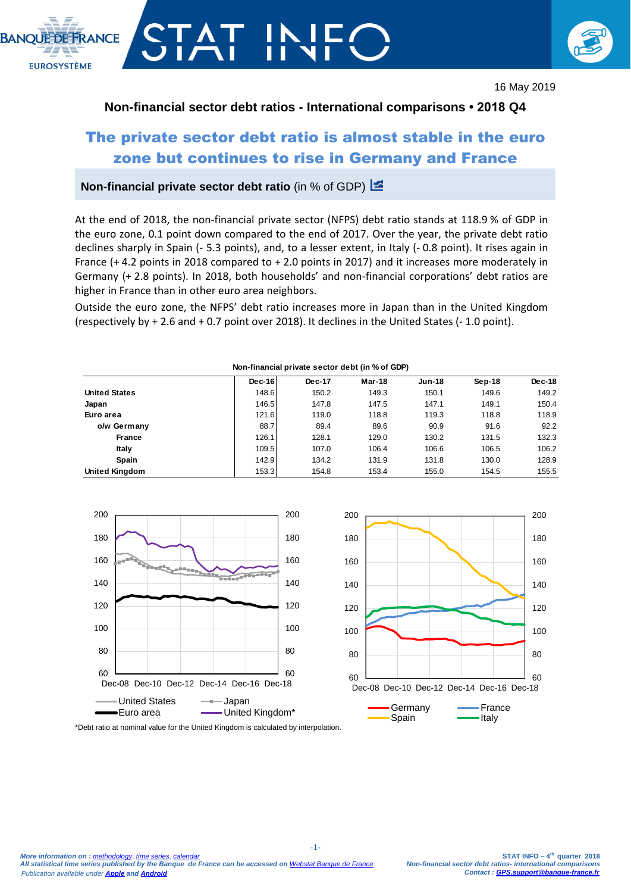



16 May 2019

#### **Non-financial sector debt ratios - International comparisons • 2018 Q4**

# The private sector debt ratio is almost stable in the euro zone but continues to rise in Germany and France

#### **Non-financial private sector debt ratio** (in % of GDP)

At the end of 2018, the non-financial private sector (NFPS) debt ratio stands at 118.9 % of GDP in the euro zone, 0.1 point down compared to the end of 2017. Over the year, the private debt ratio declines sharply in Spain (- 5.3 points), and, to a lesser extent, in Italy (- 0.8 point). It rises again in France (+ 4.2 points in 2018 compared to + 2.0 points in 2017) and it increases more moderately in Germany (+ 2.8 points). In 2018, both households' and non-financial corporations' debt ratios are higher in France than in other euro area neighbors.

Outside the euro zone, the NFPS' debt ratio increases more in Japan than in the United Kingdom (respectively by + 2.6 and + 0.7 point over 2018). It declines in the United States (- 1.0 point).

|                      | $Dec-16$ | Dec-17 | Mar-18 | <b>Jun-18</b> | $Sep-18$ | Dec-18 |
|----------------------|----------|--------|--------|---------------|----------|--------|
| <b>United States</b> | 148.6    | 150.2  | 149.3  | 150.1         | 149.6    | 149.2  |
| Japan                | 146.5    | 147.8  | 147.5  | 147.1         | 149.1    | 150.4  |
| Euro area            | 121.6    | 119.0  | 118.8  | 119.3         | 118.8    | 118.9  |
| o/w Germany          | 88.7     | 89.4   | 89.6   | 90.9          | 91.6     | 92.2   |
| France               | 126.1    | 128.1  | 129.0  | 130.2         | 131.5    | 132.3  |
| Italy                | 109.5    | 107.0  | 106.4  | 106.6         | 106.5    | 106.2  |
| Spain                | 142.9    | 134.2  | 131.9  | 131.8         | 130.0    | 128.9  |
| United Kingdom       | 153.3    | 154.8  | 153.4  | 155.0         | 154.5    | 155.5  |



#### **Non-financial private sector debt (in % of GDP)**

\*Debt ratio at nominal value for the United Kingdom is calculated by interpolation.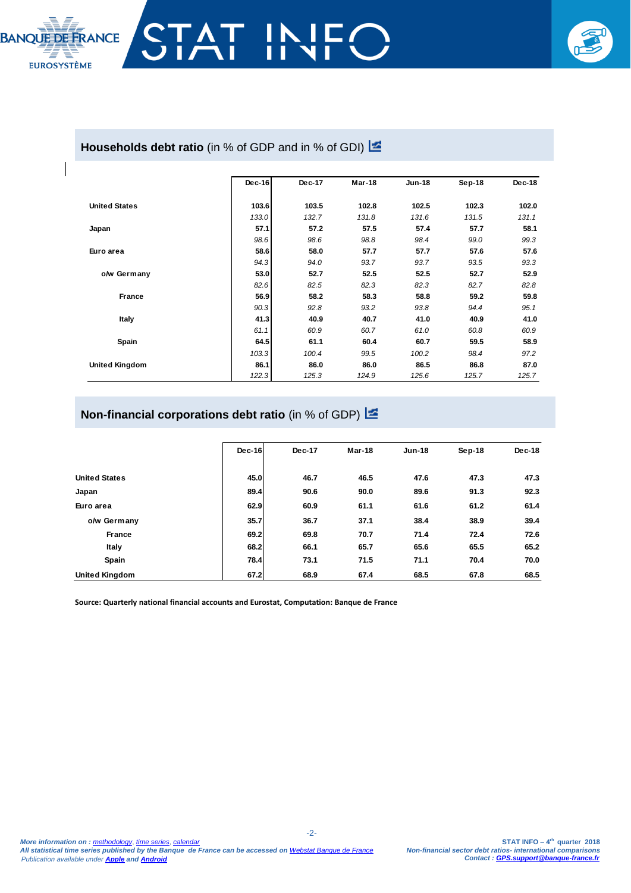

## Households debt ratio (in % of GDP and in % of GDI) **E**

|                       | $Dec-16$ | Dec-17 | Mar-18 | <b>Jun-18</b> | $Sep-18$ | Dec-18 |
|-----------------------|----------|--------|--------|---------------|----------|--------|
| <b>United States</b>  | 103.6    | 103.5  | 102.8  | 102.5         | 102.3    | 102.0  |
|                       | 133.0    | 132.7  | 131.8  | 131.6         | 131.5    | 131.1  |
| Japan                 | 57.1     | 57.2   | 57.5   | 57.4          | 57.7     | 58.1   |
|                       | 98.6     | 98.6   | 98.8   | 98.4          | 99.0     | 99.3   |
| Euro area             | 58.6     | 58.0   | 57.7   | 57.7          | 57.6     | 57.6   |
|                       | 94.3     | 94.0   | 93.7   | 93.7          | 93.5     | 93.3   |
| o/w Germany           | 53.0     | 52.7   | 52.5   | 52.5          | 52.7     | 52.9   |
|                       | 82.6     | 82.5   | 82.3   | 82.3          | 82.7     | 82.8   |
| <b>France</b>         | 56.9     | 58.2   | 58.3   | 58.8          | 59.2     | 59.8   |
|                       | 90.3     | 92.8   | 93.2   | 93.8          | 94.4     | 95.1   |
| Italy                 | 41.3     | 40.9   | 40.7   | 41.0          | 40.9     | 41.0   |
|                       | 61.1     | 60.9   | 60.7   | 61.0          | 60.8     | 60.9   |
| Spain                 | 64.5     | 61.1   | 60.4   | 60.7          | 59.5     | 58.9   |
|                       | 103.3    | 100.4  | 99.5   | 100.2         | 98.4     | 97.2   |
| <b>United Kingdom</b> | 86.1     | 86.0   | 86.0   | 86.5          | 86.8     | 87.0   |
|                       | 122.3    | 125.3  | 124.9  | 125.6         | 125.7    | 125.7  |

# **Non-financial corporations debt ratio** (in % of GDP)

|                       | $Dec-16$ | Dec-17 | Mar-18 | <b>Jun-18</b> | Sep-18 | $Dec-18$ |
|-----------------------|----------|--------|--------|---------------|--------|----------|
|                       |          |        |        |               |        |          |
| <b>United States</b>  | 45.0     | 46.7   | 46.5   | 47.6          | 47.3   | 47.3     |
| Japan                 | 89.4     | 90.6   | 90.0   | 89.6          | 91.3   | 92.3     |
| Euro area             | 62.9     | 60.9   | 61.1   | 61.6          | 61.2   | 61.4     |
| o/w Germany           | 35.7     | 36.7   | 37.1   | 38.4          | 38.9   | 39.4     |
| <b>France</b>         | 69.2     | 69.8   | 70.7   | 71.4          | 72.4   | 72.6     |
| Italy                 | 68.2     | 66.1   | 65.7   | 65.6          | 65.5   | 65.2     |
| Spain                 | 78.4     | 73.1   | 71.5   | 71.1          | 70.4   | 70.0     |
| <b>United Kingdom</b> | 67.2     | 68.9   | 67.4   | 68.5          | 67.8   | 68.5     |

**Source: Quarterly national financial accounts and Eurostat, Computation: Banque de France**